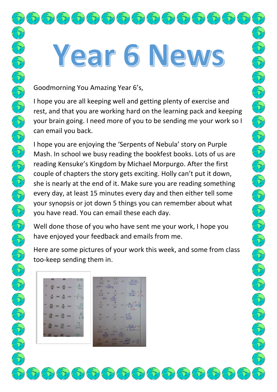## Year 6 News

Goodmorning You Amazing Year 6's,

 $\left(\mathcal{L}^{\text{av}}_{\text{c}}\left(\mathcal{L}^{\text{av}}_{\text{c}}\left(\mathcal{L}^{\text{av}}_{\text{c}}\right)\left(\mathcal{L}^{\text{av}}_{\text{c}}\right)\left(\mathcal{L}^{\text{av}}_{\text{c}}\right)\left(\mathcal{L}^{\text{av}}_{\text{c}}\right)\left(\mathcal{L}^{\text{av}}_{\text{c}}\right)\left(\mathcal{L}^{\text{av}}_{\text{c}}\right)\left(\mathcal{L}^{\text{av}}_{\text{c}}\right)\left(\mathcal{L}^{\text{av}}_{\text{c}}\right)\left(\math$ 

I hope you are all keeping well and getting plenty of exercise and rest, and that you are working hard on the learning pack and keeping your brain going. I need more of you to be sending me your work so I can email you back.

I hope you are enjoying the 'Serpents of Nebula' story on Purple Mash. In school we busy reading the bookfest books. Lots of us are reading Kensuke's Kingdom by Michael Morpurgo. After the first couple of chapters the story gets exciting. Holly can't put it down, she is nearly at the end of it. Make sure you are reading something every day, at least 15 minutes every day and then either tell some your synopsis or jot down 5 things you can remember about what you have read. You can email these each day.

Well done those of you who have sent me your work, I hope you have enjoyed your feedback and emails from me.

Here are some pictures of your work this week, and some from class too-keep sending them in.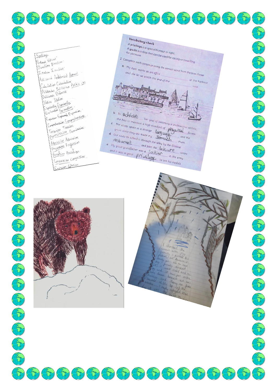Spelling National National Direction Direction Inaction Inaction Antisocial Antisocial Advanced Jacquescum Labouration Politic ion Station Station Especially Especially Eplanation Explorant Expo Comprehension Comprehension Terranion Tension Permission Pennicsion Admission Admission Progression Progression Possesion Possesion Consession Consession Explosion Folosion

**Contractor** 

**Contract Contract Contract Contract Contract Contract Contract Contract Contract Contract Contract Contract Contract Contract Contract Contract Contract Contract Contract Contract Contract Contract Contract Contract Contr** 

**Company** 



top of the  $u_{\alpha}$ 

E

**CARL SCRIPTION** 



 $\mathcal{L}(\mathbf{t})$ 

E

 $\begin{pmatrix} 2 & 1 \\ 1 & 1 \end{pmatrix}$ 

E

Porton R.

FOR

 $\sqrt{2}$ 

Porter

**Contract Contract Contract**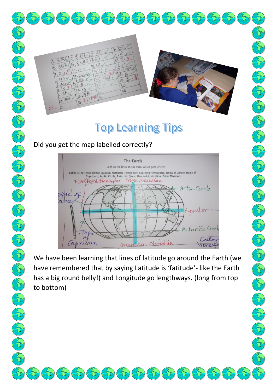

## **Top Learning Tips**

Did you get the map labelled correctly?



We have been learning that lines of latitude go around the Earth (we have remembered that by saying Latitude is 'fatitude'- like the Earth has a big round belly!) and Longitude go lengthways. (long from top to bottom)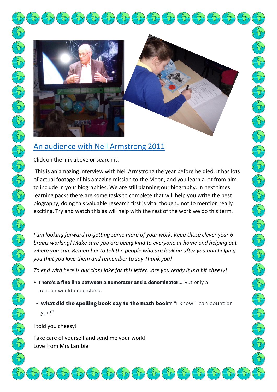

## [An audience with Neil Armstrong 2011](https://www.youtube.com/watch?v=KJzOIh2eHqQ)

Click on the link above or search it.

This is an amazing interview with Neil Armstrong the year before he died. It has lots of actual footage of his amazing mission to the Moon, and you learn a lot from him to include in your biographies. We are still planning our biography, in next times learning packs there are some tasks to complete that will help you write the best biography, doing this valuable research first is vital though…not to mention really exciting. Try and watch this as will help with the rest of the work we do this term.

*I am looking forward to getting some more of your work. Keep those clever year 6 brains working! Make sure you are being kind to everyone at home and helping out where you can. Remember to tell the people who are looking after you and helping you that you love them and remember to say Thank you!*

*To end with here is our class joke for this letter...are you ready it is a bit cheesy!* 

- . There's a fine line between a numerator and a denominator... But only a fraction would understand.
- What did the spelling book say to the math book? "I know I can count on you!"

 $\{\tau\}\{t\}$ 

I told you cheesy!

Take care of yourself and send me your work! Love from Mrs Lambie

 $\left\langle \left\langle \right\rangle \right\rangle$